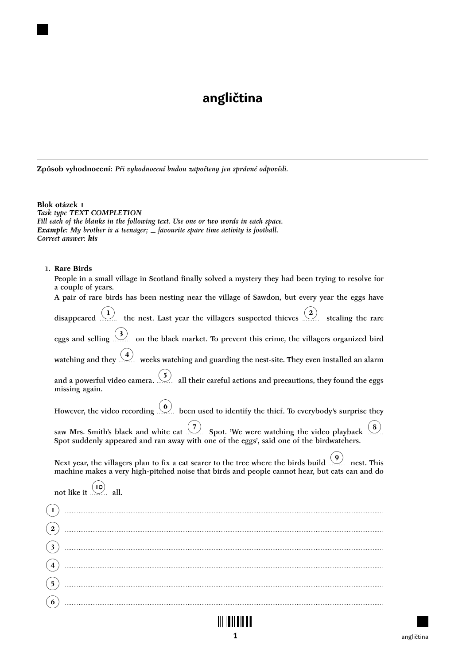# **angličtina**

**Způsob vyhodnocení:** *Při vyhodnocení budou započteny jen správné odpovědi.*

**Blok otázek 1** *Task type TEXT COMPLETION Fill each of the blanks in the following text. Use one or two words in each space. Example: My brother is a teenager; favourite spare time activity is football. Correct answer: his*

## 1. **Rare Birds**

| People in a small village in Scotland finally solved a mystery they had been trying to resolve for<br>a couple of years.                                                                                |
|---------------------------------------------------------------------------------------------------------------------------------------------------------------------------------------------------------|
| A pair of rare birds has been nesting near the village of Sawdon, but every year the eggs have                                                                                                          |
| disappeared $\overline{1}$ the nest. Last year the villagers suspected thieves $\overline{2}$ stealing the rare                                                                                         |
| eggs and selling $\frac{3}{2}$ on the black market. To prevent this crime, the villagers organized bird                                                                                                 |
| watching and they $\frac{4}{2}$ weeks watching and guarding the nest-site. They even installed an alarm                                                                                                 |
| and a powerful video camera. $\frac{(5)}{2}$ all their careful actions and precautions, they found the eggs<br>missing again.                                                                           |
| However, the video recording $(6)$ been used to identify the thief. To everybody's surprise they                                                                                                        |
| saw Mrs. Smith's black and white cat $\frac{7}{2}$ Spot. 'We were watching the video playback $\frac{8}{2}$<br>Spot suddenly appeared and ran away with one of the eggs', said one of the birdwatchers. |
| Next year, the villagers plan to fix a cat scarer to the tree where the birds build $(9)$ nest. This<br>machine makes a very high-pitched noise that birds and people cannot hear, but cats can and do  |
| not like it $(10)$ all.                                                                                                                                                                                 |
|                                                                                                                                                                                                         |
| $\mathbf{2}^{\prime}$                                                                                                                                                                                   |
| $\overline{\mathbf{3}}$                                                                                                                                                                                 |
| $\left( 4\right)$                                                                                                                                                                                       |
| $\left(5\right)$                                                                                                                                                                                        |
| (6)                                                                                                                                                                                                     |
|                                                                                                                                                                                                         |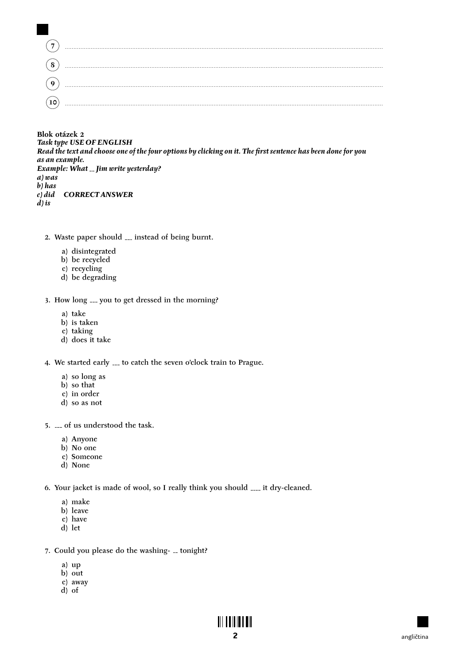Blok otázek 2 **Task type USE OF ENGLISH** Read the text and choose one of the four options by clicking on it. The first sentence has been done for you as an example. Example:  $\hat{W}$ hat  $\overline{-}$  Jim write yesterday?  $a) was$  $b)$  has **CORRECTANSWER**  $c)$  did  $d$ ) is

- 2. Waste paper should ... instead of being burnt.
	- a) disintegrated
	- b) be recycled
	- c) recycling
	- d) be degrading

3. How long \_\_\_ you to get dressed in the morning?

- a) take
- b) is taken
- c) taking
- d) does it take

4. We started early ... to catch the seven o'clock train to Prague.

- a) so long as
- b) so that
- $\overline{c}$ ) in order
- d) so as not

5. ... of us understood the task.

- a) Anyone
- b) No one
- c) Someone
- d) None

6. Your jacket is made of wool, so I really think you should .... it dry-cleaned.

- a) make
- b) leave
- c) have
- d) let
- 7. Could you please do the washing- \_ tonight?
	- a) up
	- b) out
	- c) away
	- d) of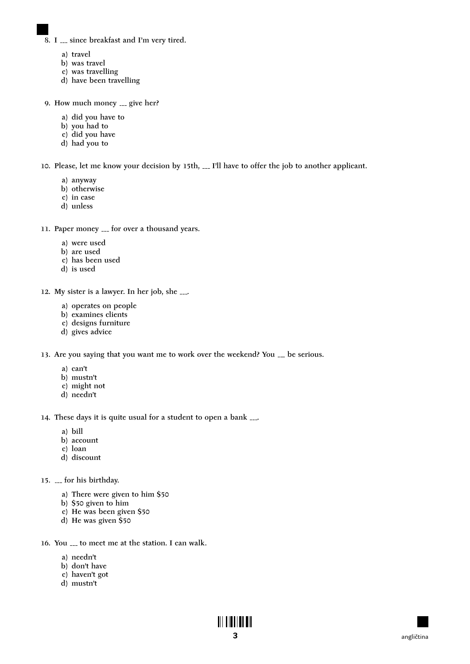- 8. I ... since breakfast and I'm very tired.
	- a) travel
	- b) was travel
	- c) was travelling
	- d) have been travelling
- 9. How much money  $\equiv$  give her?
	- a) did you have to
	- b) you had to
	- c) did you have
	- d) had you to

10. Please, let me know your decision by 15th, ... I'll have to offer the job to another applicant.

- a) anyway
- b) otherwise
- c) in case
- d) unless
- 11. Paper money <sub>---</sub> for over a thousand years.
	- a) were used
	- b) are used
	- c) has been used
	- d) is used
- 12. My sister is a lawyer. In her job, she .
	- a) operates on people
	- b) examines clients
	- c) designs furniture
	- d) gives advice

13. Are you saying that you want me to work over the weekend? You \_\_ be serious.

- a) can't
- b) mustn't
- c) might not
- d) needn't

14. These days it is quite usual for a student to open a bank .

- a) bill
- b) account
- c) loan
- d) discount
- 15. <sub>---</sub> for his birthday.
	- a) There were given to him \$50
	- b) \$50 given to him
	- c) He was been given \$50
	- d) He was given \$50
- 16. You  $\ldots$  to meet me at the station. I can walk.
	- a) needn't
	- b) don't have
	- c) haven't got
	- d) mustn't

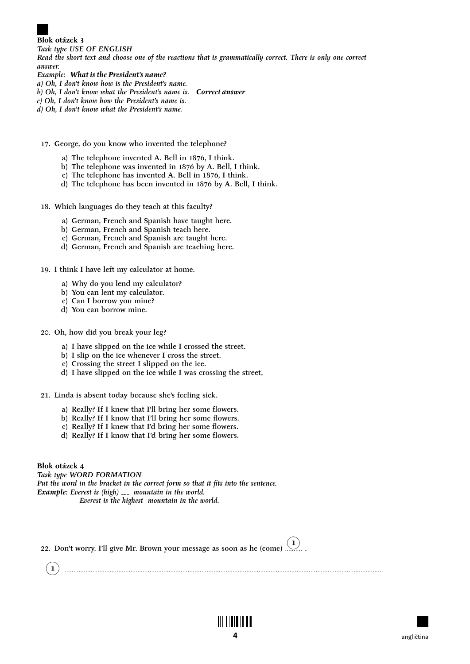**Blok otázek 3** *Task type USE OF ENGLISH*

*Read the short text and choose one of the reactions that is grammatically correct. There is only one correct answer.*

- *Example: What is the President's name?*
- *a) Oh, I don't know how is the President's name.*
- *b) Oh, I don't know what the President's name is. Correct answer*
- *c) Oh, I don't know how the President's name is.*
- *d) Oh, I don't know what the President's name.*
- 17. George, do you know who invented the telephone?
	- a) The telephone invented A. Bell in 1876, I think.
	- b) The telephone was invented in 1876 by A. Bell, I think.
	- c) The telephone has invented A. Bell in 1876, I think.
	- d) The telephone has been invented in 1876 by A. Bell, I think.

18. Which languages do they teach at this faculty?

- a) German, French and Spanish have taught here.
- b) German, French and Spanish teach here.
- c) German, French and Spanish are taught here.
- d) German, French and Spanish are teaching here.

19. I think I have left my calculator at home.

- a) Why do you lend my calculator?
- b) You can lent my calculator.
- c) Can I borrow you mine?
- d) You can borrow mine.
- 20. Oh, how did you break your leg?
	- a) I have slipped on the ice while I crossed the street.
	- b) I slip on the ice whenever I cross the street.
	- c) Crossing the street I slipped on the ice.
	- d) I have slipped on the ice while I was crossing the street,
- 21. Linda is absent today because she's feeling sick.
	- a) Really? If I knew that I'll bring her some flowers.
	- b) Really? If I know that I'll bring her some flowers.
	- c) Really? If I knew that I'd bring her some flowers.
	- d) Really? If I know that I'd bring her some flowers.

**Blok otázek 4** *Task type WORD FORMATION Put the word in the bracket in the correct form so that it fits into the sentence. Example: Everest is (high)* \_\_\_ mountain in the world. *Everest is the highest mountain in the world.*

|  | 22. Don't worry. I'll give Mr. Brown your message as soon as he (come) $\widehat{\hbox{1}}$ . |  |
|--|-----------------------------------------------------------------------------------------------|--|
|--|-----------------------------------------------------------------------------------------------|--|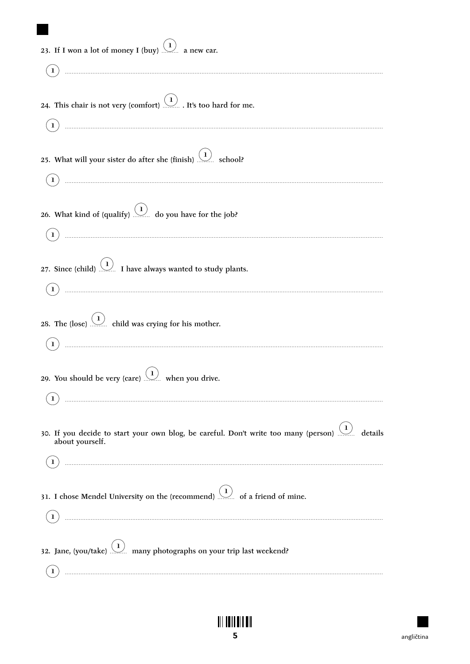| 23. If I won a lot of money I (buy) $(1)$ a new car.                                                                                                                                                                                                                                                                                                                                                                                                                                                       |
|------------------------------------------------------------------------------------------------------------------------------------------------------------------------------------------------------------------------------------------------------------------------------------------------------------------------------------------------------------------------------------------------------------------------------------------------------------------------------------------------------------|
|                                                                                                                                                                                                                                                                                                                                                                                                                                                                                                            |
| 24. This chair is not very (comfort) $(1)$ . It's too hard for me.                                                                                                                                                                                                                                                                                                                                                                                                                                         |
| 25. What will your sister do after she (finish) $(1)$ school?                                                                                                                                                                                                                                                                                                                                                                                                                                              |
| 26. What kind of (qualify) $(1)$ do you have for the job?                                                                                                                                                                                                                                                                                                                                                                                                                                                  |
| 27. Since (child) $(1)$ I have always wanted to study plants.                                                                                                                                                                                                                                                                                                                                                                                                                                              |
| 28. The (lose) $(1)$ child was crying for his mother.<br>$\begin{minipage}[c]{0.5\textwidth} \centering \begin{tabular}{ c c c c c } \hline \multicolumn{1}{ c }{\textbf{1}} & \multicolumn{1}{ c }{\textbf{2}} & \multicolumn{1}{ c }{\textbf{3}} & \multicolumn{1}{ c }{\textbf{4}} & \multicolumn{1}{ c }{\textbf{5}} & \multicolumn{1}{ c }{\textbf{6}} & \multicolumn{1}{ c }{\textbf{7}} & \multicolumn{1}{ c }{\textbf{8}} & \multicolumn{1}{ c }{\textbf{9}} & \multicolumn{1}{ c }{\textbf{1}} &$ |
| 29. You should be very (care) $(1)$ when you drive.                                                                                                                                                                                                                                                                                                                                                                                                                                                        |
| 30. If you decide to start your own blog, be careful. Don't write too many (person) $(1)$ details<br>about yourself.                                                                                                                                                                                                                                                                                                                                                                                       |
| 31. I chose Mendel University on the (recommend) $(1)$ of a friend of mine.                                                                                                                                                                                                                                                                                                                                                                                                                                |
| 32. Jane, (you/take) $(1)$ many photographs on your trip last weekend?                                                                                                                                                                                                                                                                                                                                                                                                                                     |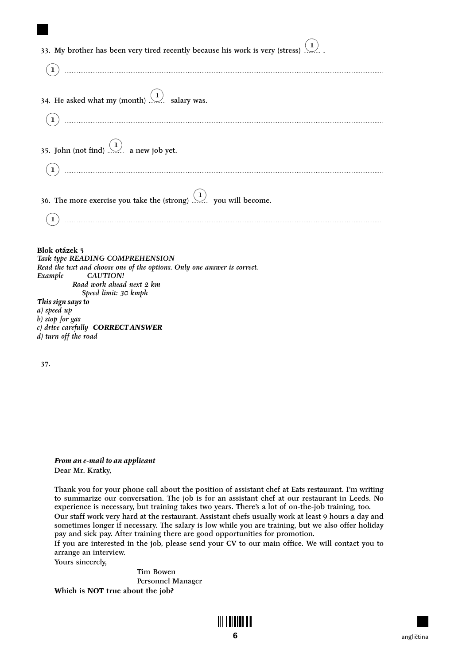| 33. My brother has been very tired recently because his work is very (stress) $(1)$ . |
|---------------------------------------------------------------------------------------|
|                                                                                       |
| 34. He asked what my (month) $(1)$ salary was.                                        |
| $\bf{1}$                                                                              |
| 35. John (not find) $(1)$ a new job yet.                                              |
|                                                                                       |
| 36. The more exercise you take the (strong) $(1)$ you will become.                    |
| $\mathbf{1}$ )                                                                        |
| Blok otázek 5<br>Task type READING COMPREHENSION                                      |
| Read the text and choose one of the options. Only one answer is correct.              |
| Example<br><b>CAUTION!</b><br>Road work ahead next 2 km                               |
| Speed limit: 30 kmph                                                                  |
| This sign says to<br>- \ J                                                            |

*a) speed up b) stop for gas c) drive carefully CORRECT ANSWER d) turn off the road*

37.

*From an e-mail to an applicant* Dear Mr. Kratky,

Thank you for your phone call about the position of assistant chef at Eats restaurant. I'm writing to summarize our conversation. The job is for an assistant chef at our restaurant in Leeds. No experience is necessary, but training takes two years. There's a lot of on-the-job training, too. Our staff work very hard at the restaurant. Assistant chefs usually work at least 9 hours a day and

sometimes longer if necessary. The salary is low while you are training, but we also offer holiday pay and sick pay. After training there are good opportunities for promotion.

If you are interested in the job, please send your CV to our main office. We will contact you to arrange an interview.

Yours sincerely,

Tim Bowen Personnel Manager **Which is NOT true about the job?**